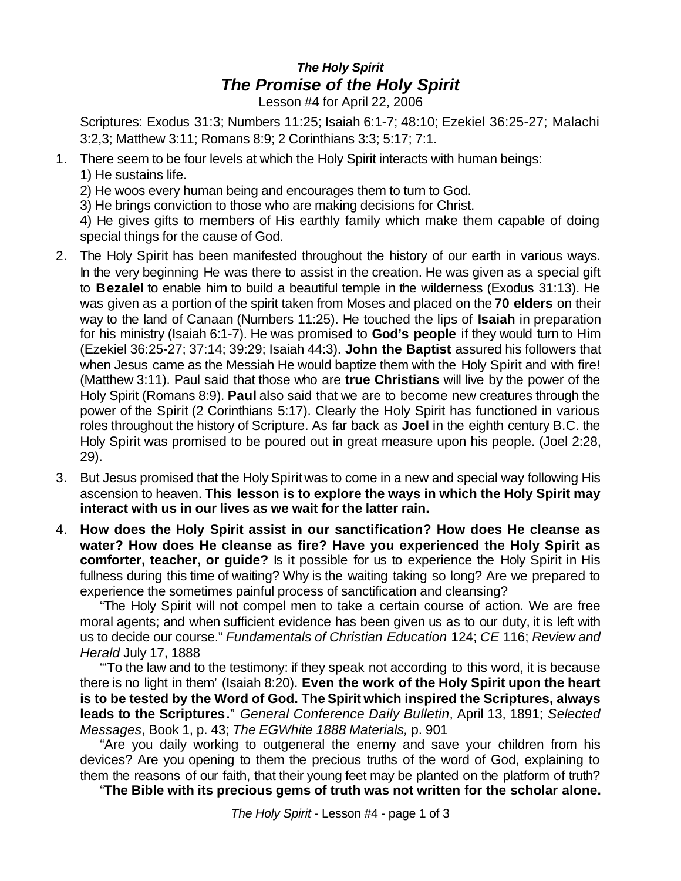## *The Holy Spirit The Promise of the Holy Spirit*

Lesson #4 for April 22, 2006

Scriptures: Exodus 31:3; Numbers 11:25; Isaiah 6:1-7; 48:10; Ezekiel 36:25-27; Malachi 3:2,3; Matthew 3:11; Romans 8:9; 2 Corinthians 3:3; 5:17; 7:1.

1. There seem to be four levels at which the Holy Spirit interacts with human beings: 1) He sustains life.

2) He woos every human being and encourages them to turn to God.

3) He brings conviction to those who are making decisions for Christ.

4) He gives gifts to members of His earthly family which make them capable of doing special things for the cause of God.

- 2. The Holy Spirit has been manifested throughout the history of our earth in various ways. In the very beginning He was there to assist in the creation. He was given as a special gift to **Bezalel** to enable him to build a beautiful temple in the wilderness (Exodus 31:13). He was given as a portion of the spirit taken from Moses and placed on the **70 elders** on their way to the land of Canaan (Numbers 11:25). He touched the lips of **Isaiah** in preparation for his ministry (Isaiah 6:1-7). He was promised to **God's people** if they would turn to Him (Ezekiel 36:25-27; 37:14; 39:29; Isaiah 44:3). **John the Baptist** assured his followers that when Jesus came as the Messiah He would baptize them with the Holy Spirit and with fire! (Matthew 3:11). Paul said that those who are **true Christians** will live by the power of the Holy Spirit (Romans 8:9). **Paul** also said that we are to become new creatures through the power of the Spirit (2 Corinthians 5:17). Clearly the Holy Spirit has functioned in various roles throughout the history of Scripture. As far back as **Joel** in the eighth century B.C. the Holy Spirit was promised to be poured out in great measure upon his people. (Joel 2:28, 29).
- 3. But Jesus promised that the Holy Spiritwas to come in a new and special way following His ascension to heaven. **This lesson is to explore the ways in which the Holy Spirit may interact with us in our lives as we wait for the latter rain.**
- 4. **How does the Holy Spirit assist in our sanctification? How does He cleanse as water? How does He cleanse as fire? Have you experienced the Holy Spirit as comforter, teacher, or guide?** Is it possible for us to experience the Holy Spirit in His fullness during this time of waiting? Why is the waiting taking so long? Are we prepared to experience the sometimes painful process of sanctification and cleansing?

"The Holy Spirit will not compel men to take a certain course of action. We are free moral agents; and when sufficient evidence has been given us as to our duty, it is left with us to decide our course." *Fundamentals of Christian Education* 124; *CE* 116; *Review and Herald* July 17, 1888

"'To the law and to the testimony: if they speak not according to this word, it is because there is no light in them' (Isaiah 8:20). **Even the work of the Holy Spirit upon the heart is to be tested by the Word of God. The Spirit which inspired the Scriptures, always leads to the Scriptures.**" *General Conference Daily Bulletin*, April 13, 1891; *Selected Messages*, Book 1, p. 43; *The EGWhite 1888 Materials,* p. 901

"Are you daily working to outgeneral the enemy and save your children from his devices? Are you opening to them the precious truths of the word of God, explaining to them the reasons of our faith, that their young feet may be planted on the platform of truth?

"**The Bible with its precious gems of truth was not written for the scholar alone.**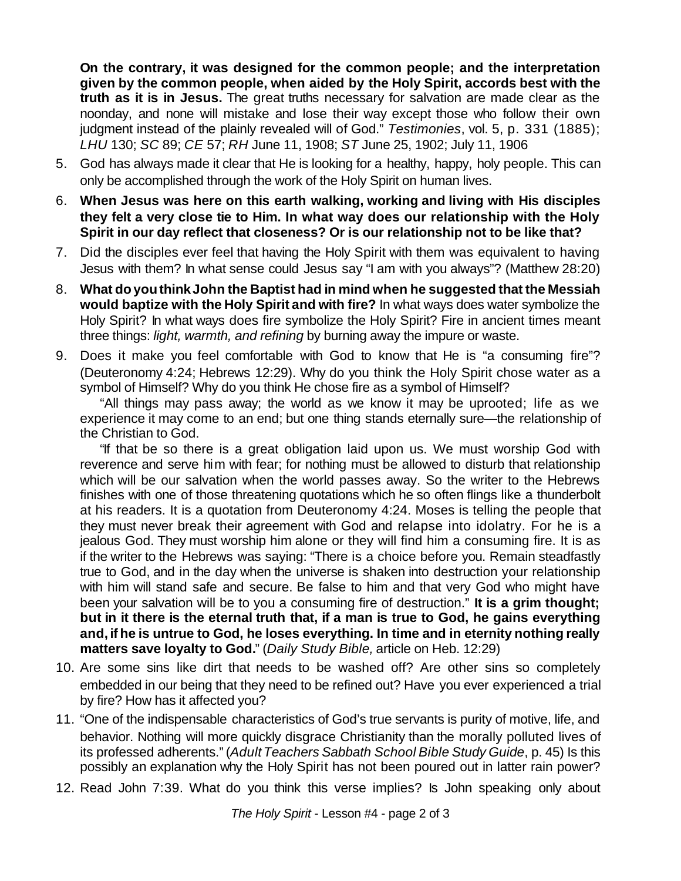**On the contrary, it was designed for the common people; and the interpretation given by the common people, when aided by the Holy Spirit, accords best with the truth as it is in Jesus.** The great truths necessary for salvation are made clear as the noonday, and none will mistake and lose their way except those who follow their own judgment instead of the plainly revealed will of God." *Testimonies*, vol. 5, p. 331 (1885); *LHU* 130; *SC* 89; *CE* 57; *RH* June 11, 1908; *ST* June 25, 1902; July 11, 1906

- 5. God has always made it clear that He is looking for a healthy, happy, holy people. This can only be accomplished through the work of the Holy Spirit on human lives.
- 6. **When Jesus was here on this earth walking, working and living with His disciples they felt a very close tie to Him. In what way does our relationship with the Holy Spirit in our day reflect that closeness? Or is our relationship not to be like that?**
- 7. Did the disciples ever feel that having the Holy Spirit with them was equivalent to having Jesus with them? In what sense could Jesus say "I am with you always"? (Matthew 28:20)
- 8. **What doyouthinkJohn the Baptist had in mind when he suggested that the Messiah would baptize with the Holy Spirit and with fire?** In what ways does water symbolize the Holy Spirit? In what ways does fire symbolize the Holy Spirit? Fire in ancient times meant three things: *light, warmth, and refining* by burning away the impure or waste.
- 9. Does it make you feel comfortable with God to know that He is "a consuming fire"? (Deuteronomy 4:24; Hebrews 12:29). Why do you think the Holy Spirit chose water as a symbol of Himself? Why do you think He chose fire as a symbol of Himself?

"All things may pass away; the world as we know it may be uprooted; life as we experience it may come to an end; but one thing stands eternally sure—the relationship of the Christian to God.

"If that be so there is a great obligation laid upon us. We must worship God with reverence and serve him with fear; for nothing must be allowed to disturb that relationship which will be our salvation when the world passes away. So the writer to the Hebrews finishes with one of those threatening quotations which he so often flings like a thunderbolt at his readers. It is a quotation from Deuteronomy 4:24. Moses is telling the people that they must never break their agreement with God and relapse into idolatry. For he is a jealous God. They must worship him alone or they will find him a consuming fire. It is as if the writer to the Hebrews was saying: "There is a choice before you. Remain steadfastly true to God, and in the day when the universe is shaken into destruction your relationship with him will stand safe and secure. Be false to him and that very God who might have been your salvation will be to you a consuming fire of destruction." **It is a grim thought; but in it there is the eternal truth that, if a man is true to God, he gains everything and, if he is untrue to God, he loses everything. In time and in eternity nothing really matters save loyalty to God.**" (*Daily Study Bible,* article on Heb. 12:29)

- 10. Are some sins like dirt that needs to be washed off? Are other sins so completely embedded in our being that they need to be refined out? Have you ever experienced a trial by fire? How has it affected you?
- 11. "One of the indispensable characteristics of God's true servants is purity of motive, life, and behavior. Nothing will more quickly disgrace Christianity than the morally polluted lives of its professed adherents." (*AdultTeachers Sabbath School Bible Study Guide*, p. 45) Is this possibly an explanation why the Holy Spirit has not been poured out in latter rain power?
- 12. Read John 7:39. What do you think this verse implies? Is John speaking only about